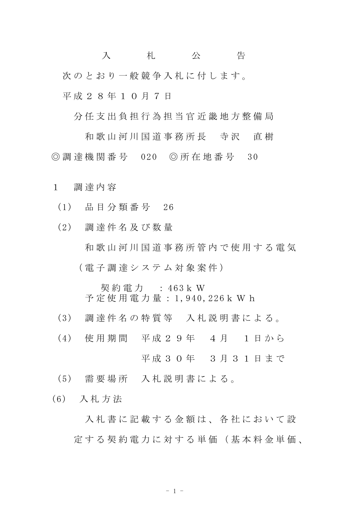入 札 公 告 次のとおり一般競争入札に付します。 平 成 2 8 年 1 0 月 7 日

分 任 支 出 負 担 行 為 担 当 官 近 畿 地 方 整 備 局

和 歌 山 河 川 国 道 事 務 所 長 寺 沢 直 樹 ◎ 調 達 機 関 番 号 020 ◎ 所 在 地 番 号 30

- 1 調 達 内 容
	- (1) 品 目 分 類 番 号 26
	- (2) 調 達 件 名 及 び 数 量 和 歌 山 河 川 国 道 事 務 所 管 内 で 使 用 す る 電 気 ( 電 子 調 達 シ ス テ ム 対 象 案 件 )

契 約 電 力 : 463k W 予 定 使 用 電 力 量 : 1,940,226k W h

- (3) 調 達 件 名 の 特 質 等 入 札 説 明 書 に よ る 。
- (4) 使 用 期 間 平 成 2 9 年 4 月 1 日 か ら

平成30年 3月31日まで

- (5) 需 要 場 所 入 札 説 明 書 に よ る 。
- (6) 入 札 方 法

入札書に記載する金額は、各社において設 定 す る 契 約 電 力 に 対 す る 単 価 ( 基 本 料 金 単 価 、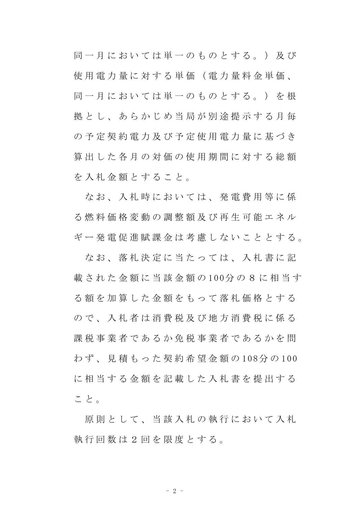同 一 月 に お い て は 単 一 の も の と す る 。 ) 及 び 使 用 電 力 量 に 対 す る 単 価 ( 電 力 量 料 金 単 価 、 同 一 月 に お い て は 単 一 の も の と す る 。 ) を 根 拠とし、あらかじめ当局が別途提示する月毎 の 予 定 契 約 電 力 及 び 予 定 使 用 電 力 量 に 基 づ き 算 出 し た 各 月 の 対 価 の 使 用 期 間 に 対 す る 総 額 を入札金額とすること。

なお、入札時においては、発電費用等に係 る 燃 料 価 格 変 動 の 調 整 額 及 び 再 生 可 能 エ ネ ル ギ ー 発 電 促 進 賦 課 金 は 考 慮 し な い こ と と す る 。

なお、落札決定に当たっては、入札書に記 載 さ れ た 金 額 に 当 該 金 額 の 100分 の 8 に 相 当 す る 額 を 加 算 し た 金 額 を も っ て 落 札 価 格 と す る ので、入札者は消費税及び地方消費税に係る 課 税 事 業 者 で あ る か 免 税 事 業 者 で あ る か を 問 わ ず 、 見 積 も っ た 契 約 希 望 金 額 の 108分 の 100 に相当する金額を記載した入札書を提出する こと。

原則として、当該入札の執行において入札 執行回数は2回を限度とする。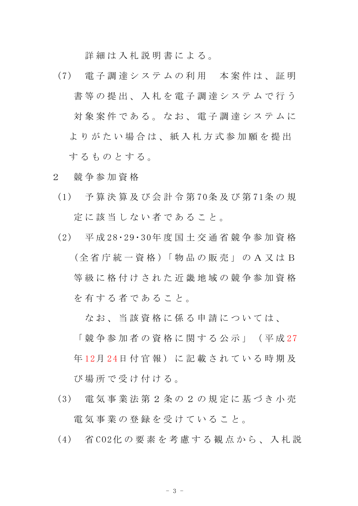詳細は入札説明書による。

- (7) 電 子 調 達 シ ス テ ム の 利 用 本 案 件 は 、 証 明 書等の提出、入札を電子調達システムで行う 対象案件である。なお、電子調達システムに よりがたい場合は、紙入札方式参加願を提出 するものとする。
- 2 競 争 参 加 資 格
- (1) 予 算 決 算 及 び 会 計 令 第 70条 及 び 第 71条 の 規 定に該当しない者であること。
- (2) 平 成 28・29・30年 度 国 土 交 通 省 競 争 参 加 資 格 (全 省 庁 統 一 資 格 )「 物 品 の 販 売 」 の A 又 は B 等級に格付けされた近畿地域の競争参加資格 を 有 す る 者 で あ る こ と 。

な お 、 当 該 資 格 に 係 る 申 請 に つ い て は 、

「 競 争 参 加 者 の 資 格 に 関 す る 公 示 」 ( 平 成 27 年12月24日付官報)に記載されている時期及 び 場 所 で 受 け 付 け る 。

- (3) 電 気 事 業 法 第 2 条 の 2 の 規 定 に 基 づ き 小 売 電 気 事 業 の 登 録 を 受 け て い る こ と 。
- (4) 省 CO2化 の 要 素 を 考 慮 す る 観 点 か ら 、 入 札 説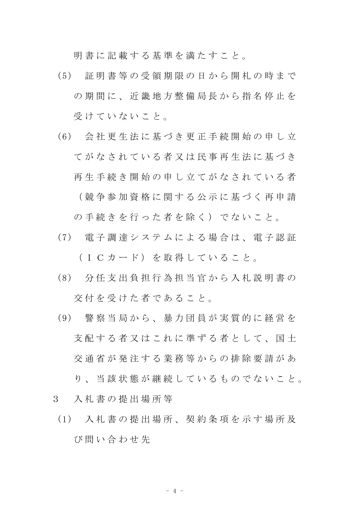明 書 に 記 載 す る 基 準 を 満 た す こ と 。

- (5) 証 明 書 等 の 受 領 期 限 の 日 か ら 開 札 の 時 ま で の期間に、近畿地方整備局長から指名停止を 受けていないこと。
- (6) 会 社 更 生 法 に 基 づ き 更 正 手 続 開 始 の 申 し 立 て が な さ れ て い る 者 又 は 民 事 再 生 法 に 基 づ き 再生手続き開始の申し立てがなされている者 ( 競 争 参 加 資 格 に 関 す る 公 示 に 基 づ く 再 申 請 の手続きを行った者を除く)でないこと。
- (7) 電 子 調 達 シ ス テ ム に よ る 場 合 は 、 電 子 認 証 (ICカード) を取得していること。
- (8) 分 任 支 出 負 担 行 為 担 当 官 か ら 入 札 説 明 書 の 交 付 を 受 け た 者 で あ る こ と 。
- (9) 警 察 当 局 か ら 、 暴 力 団 員 が 実 質 的 に 経 営 を 支 配 す る 者 又 は こ れ に 準 ず る 者 と し て 、 国 十 交 通 省 が 発 注 す る 業 務 等 か ら の 排 除 要 請 が あ り、当 該 状 熊 が 継 続 し て い る も の で な い こ と 。
- 3 入 札 書 の 提 出 場 所 等
- (1) 入 札 書 の 提 出 場 所 、 契 約 条 項 を 示 す 場 所 及 び 問 い 合 わ せ 先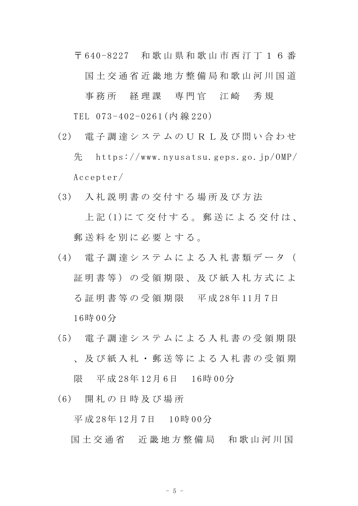〒 640-8227 和 歌 山 県 和 歌 山 市 西 汀 丁 1 6 番 国土 交 通 省 近 畿 地 方 整 備 局 和 歌 山 河 川 国 道

事務所 経理課 専門官 江崎 秀規 TEL 073-402-0261(内 線 220)

- (2) 電 子 調 達 シ ス テ ム の U R L 及 び 問 い 合 わ せ 先 https://www.nyusatsu.geps.go.jp/OMP/ Accepter/
- (3) 入 札 説 明 書 の 交 付 す る 場 所 及 び 方 法 上 記 (1)に て 交 付 す る 。 郵 送 に よ る 交 付 は 、 郵送料を別に必要とする。
- (4) 電 子 調 達 シ ス テ ム に よ る 入 札 書 類 デ ー タ ( 証明書等)の受領期限、及び紙入札方式によ る 証 明 書 等 の 受 領 期 限 平 成 28年 11月 7日 16時 00分
- (5) 電 子 調 達 シ ス テ ム に よ る 入 札 書 の 受 領 期 限 、 及 び 紙 入 札 ・ 郵 送 等 に よ る 入 札 書 の 受 領 期 限 平 成 28年 12月 6日 16時 00分
- (6) 開 札 の 日 時 及 び 場 所 平 成 28年 12月 7日 10時 00分
	- 国土 交 通 省 近 畿 地 方 整 備 局 和 歌 山 河 川 国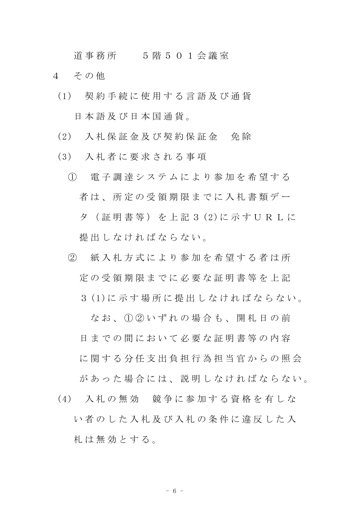道事務所 5 階 5 0 1 会議室

- 4 その他
	- (1) 契 約 手 続 に 使 用 す る 言 語 及 び 通 貨 日 本 語 及 び 日 本 国 通 貨 。
	- (2) 入 札 保 証 金 及 び 契 約 保 証 金 免 除
	- (3) 入 札 者 に 要 求 さ れ る 事 項
		- ① 電 子 調 達 シ ス テ ム に よ り 参 加 を 希 望 す る 者は、所定の受領期限までに入札書類デー タ ( 証 明 書 等 ) を 上 記 3 (2)に 示 す U R L に 提 出 し な け れ ば な ら な い 。
		- ② 紙 入 札 方 式 に よ り 参 加 を 希 望 す る 者 は 所 定 の 受 領 期 限 ま で に 必 要 な 証 明 書 等 を 上 記
			- 3 (1)に 示 す 場 所 に 提 出 し な け れ ば な ら な い 。

なお、① ② いずれの場合も、開札日の前

日までの間において必要な証明書等の内容

に関する分任支出負担行為担当官からの照会 があった場合には、説明しなければならない。

(4) 入 札 の 無 効 競 争 に 参 加 す る 資 格 を 有 し な い者のした入札及び入札の条件に違反した入 札 は 無 効 と す る 。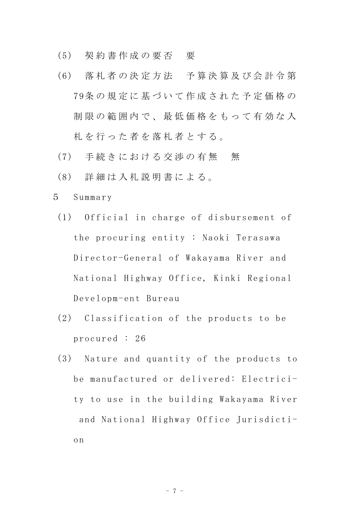- (5) 契 約 書 作 成 の 要 否 要
- (6) 落 札 者 の 決 定 方 法 予 算 決 算 及 び 会 計 令 第 79条 の 規 定 に 基 づ い て 作 成 さ れ た 予 定 価 格 の 制限の範囲内で、最低価格をもって有効な入 札 を 行 っ た 者 を 落 札 者 と す る 。
- (7) 手続きにおける交渉の有無 無
- (8) 詳 細 は 入 札 説 明 書 に よ る 。
- 5 Summary
	- (1) Official in charge of disbursement of the procuring entity : Naoki Terasawa Director-General of Wakayama River and National Highway Office, Kinki Regional Developm-ent Bureau
	- (2) Classification of the products to be procured : 26
	- (3) Nature and quantity of the products to be manufactured or delivered: Electricity to use in the building Wakayama River and National Highway Office Jurisdiction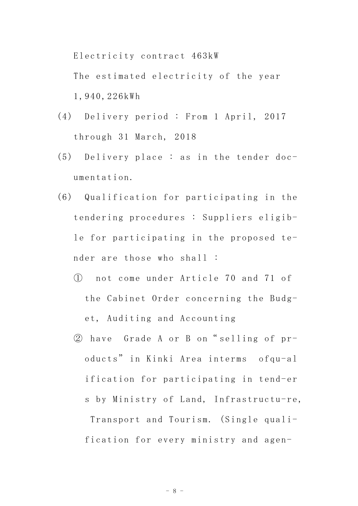Electricity contract 463kW

The estimated electricity of the year 1,940,226kWh

- (4) Delivery period : From 1 April, 2017 through 31 March, 2018
- (5) Delivery place : as in the tender documentation.
- (6) Qualification for participating in the tendering procedures : Suppliers eligible for participating in the proposed tender are those who shall :
	- ① not come under Article 70 and 71 of the Cabinet Order concerning the Budget, Auditing and Accounting
	- ② have Grade A or B on" selling of products" in Kinki Area interms ofqu-al ification for participating in tend-er s by Ministry of Land, Infrastructu-re, Transport and Tourism. (Single quali-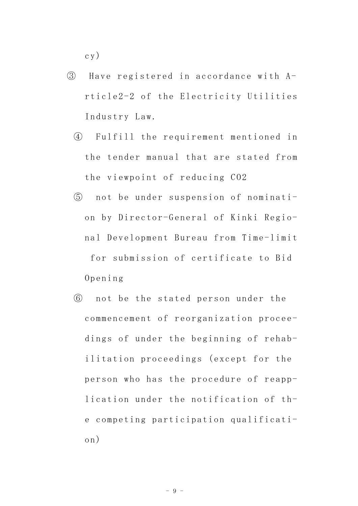cy)

- ③ Have registered in accordance with Article2-2 of the Electricity Utilities Industry Law.
	- ④ Fulfill the requirement mentioned in the tender manual that are stated from the viewpoint of reducing CO2
	- ⑤ not be under suspension of nomination by Director-General of Kinki Regional Development Bureau from Time-limit for submission of certificate to Bid Opening
	- ⑥ not be the stated person under the commencement of reorganization proceedings of under the beginning of rehabilitation proceedings (except for the person who has the procedure of reapplication under the notification of the competing participation qualification)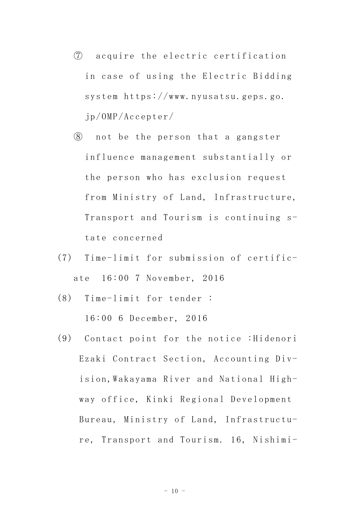- ⑦ acquire the electric certification in case of using the Electric Bidding system https://www.nyusatsu.geps.go. jp/OMP/Accepter/
- ⑧ not be the person that a gangster influence management substantially or the person who has exclusion request from Ministry of Land, Infrastructure, Transport and Tourism is continuing state concerned
- (7) Time-limit for submission of certificate 16:00 7 November, 2016
- (8) Time-limit for tender : 16:00 6 December, 2016
- (9) Contact point for the notice :Hidenori Ezaki Contract Section, Accounting Division,Wakayama River and National Highway office, Kinki Regional Development Bureau, Ministry of Land, Infrastructure, Transport and Tourism. 16, Nishimi-